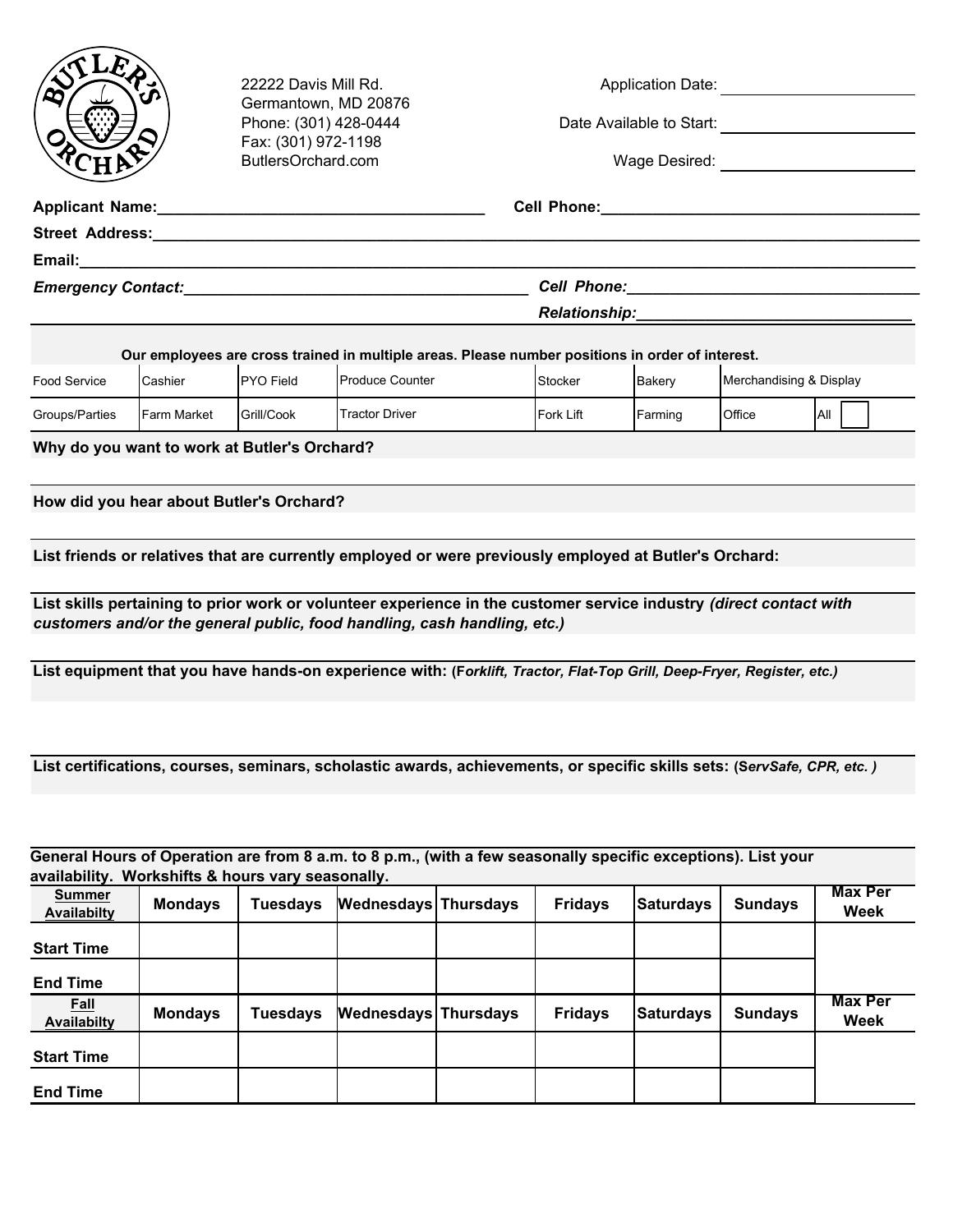

22222 Davis Mill Rd. Germantown, MD 20876 Phone: (301) 428-0444 Fax: (301) 972-1198 ButlersOrchard.com

| <b>Application Date:</b> |  |
|--------------------------|--|
|                          |  |

Date Available to Start:

Wage Desired:

| <b>Street Address:</b>    |                                                                                                                 |  |
|---------------------------|-----------------------------------------------------------------------------------------------------------------|--|
|                           |                                                                                                                 |  |
| <b>Emergency Contact:</b> | Cell Phone: The Contract of the Contract of the Contract of the Contract of the Contract of the Contract of the |  |
|                           | <b>Relationship:</b>                                                                                            |  |

| Our employees are cross trained in multiple areas. Please number positions in order of interest. |                    |                   |                         |                  |               |                         |      |
|--------------------------------------------------------------------------------------------------|--------------------|-------------------|-------------------------|------------------|---------------|-------------------------|------|
| Food Service                                                                                     | Cashier            | <b>IPYO Field</b> | <b>IProduce Counter</b> | <b>IStocker</b>  | <b>Bakerv</b> | Merchandising & Display |      |
| Groups/Parties                                                                                   | <b>Farm Market</b> | <b>Grill/Cook</b> | <b>Tractor Driver</b>   | <b>Fork Lift</b> | Farming       | <b>Office</b>           | IAII |

**Why do you want to work at Butler's Orchard?**

**How did you hear about Butler's Orchard?**

**List friends or relatives that are currently employed or were previously employed at Butler's Orchard:**

**List skills pertaining to prior work or volunteer experience in the customer service industry** *(direct contact with customers and/or the general public, food handling, cash handling, etc.)*

**List equipment that you have hands-on experience with: (F***orklift, Tractor, Flat-Top Grill, Deep-Fryer, Register, etc.)*

**List certifications, courses, seminars, scholastic awards, achievements, or specific skills sets: (S***ervSafe, CPR, etc. )*

**Summer Availabilty Mondays Tuesdays Wednesdays Thursdays Fridays Saturdays Sundays Max Per Week Start Time End Time Fall Availabilty Mondays Tuesdays Wednesdays Thursdays Fridays Saturdays Sundays Max Per Week Start Time End Time General Hours of Operation are from 8 a.m. to 8 p.m., (with a few seasonally specific exceptions). List your availability. Workshifts & hours vary seasonally.**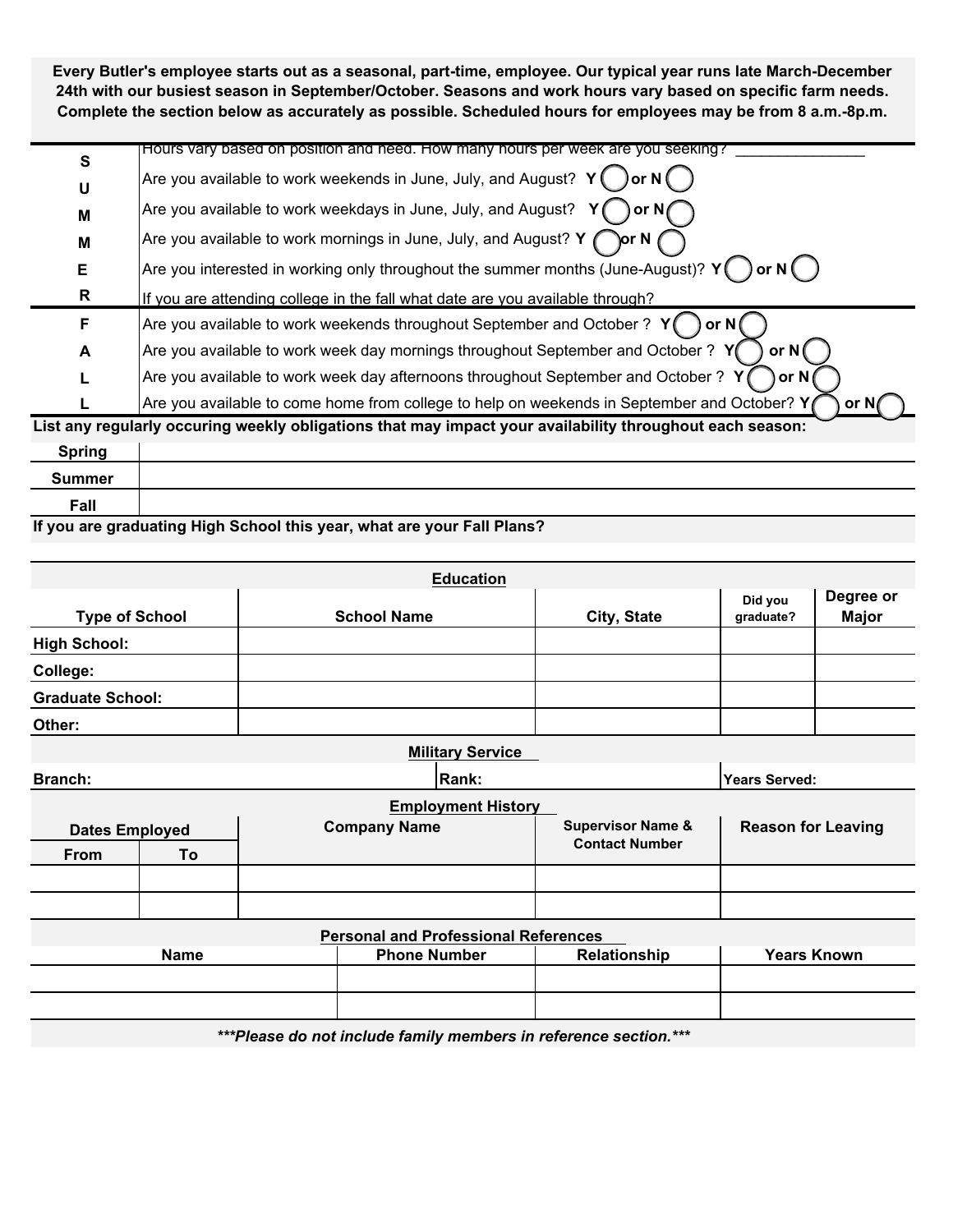**Every Butler's employee starts out as a seasonal, part-time, employee. Our typical year runs late March-December 24th with our busiest season in September/October. Seasons and work hours vary based on specific farm needs. Complete the section below as accurately as possible. Scheduled hours for employees may be from 8 a.m.-8p.m.** 

| S | Hours vary based on position and need. How many hours per week are you seeking?                                    |
|---|--------------------------------------------------------------------------------------------------------------------|
| U | $ $ Are you available to work weekends in June, July, and August? $\ Y(\ )$ or N $\bigcap$                         |
| M | Are you available to work weekdays in June, July, and August? $\;$ Y $\;$ (<br>or $N$                              |
| M | Are you available to work mornings in June, July, and August? Y $\curvearrowleft$                                  |
| Е | Are you interested in working only throughout the summer months (June-August)? Y                                   |
| R | If you are attending college in the fall what date are you available through?                                      |
| F | Are you available to work weekends throughout September and October ? Y                                            |
| A | Are you available to work week day mornings throughout September and October ? $Y($<br>or N (                      |
|   | Are you available to work week day afternoons throughout September and October ? Y                                 |
|   | Are you available to come home from college to help on weekends in September and October? Y<br>or Nr               |
|   | المراجحة بالمرج والمسموطات وبالزالط والمستحرج وسيمي والمستحين والمتواطئ ومسترا والمستحدث والراجح والمستحدث والمجار |

**List any regularly occuring weekly obligations that may impact your availability throughout each season: Spring**  $\blacksquare$ 

| opring |                                                                        |
|--------|------------------------------------------------------------------------|
| ummer  |                                                                        |
| Fall   |                                                                        |
|        | If you are areduating High Cahool this year, what are your Fall Blanc? |

**If you are graduating High School this year, what are your Fall Plans?**

|                         |    |                                   | <b>Education</b>                                                    |                              |                           |  |
|-------------------------|----|-----------------------------------|---------------------------------------------------------------------|------------------------------|---------------------------|--|
| <b>Type of School</b>   |    | City, State<br><b>School Name</b> |                                                                     | Did you<br>graduate?         | Degree or<br><b>Major</b> |  |
| <b>High School:</b>     |    |                                   |                                                                     |                              |                           |  |
| <b>College:</b>         |    |                                   |                                                                     |                              |                           |  |
| <b>Graduate School:</b> |    |                                   |                                                                     |                              |                           |  |
| Other:                  |    |                                   |                                                                     |                              |                           |  |
|                         |    |                                   | <b>Military Service</b>                                             |                              |                           |  |
| Branch:                 |    |                                   | Rank:                                                               |                              | <b>Years Served:</b>      |  |
|                         |    |                                   | <b>Employment History</b>                                           |                              |                           |  |
| <b>Dates Employed</b>   |    |                                   | <b>Company Name</b>                                                 | <b>Supervisor Name &amp;</b> | <b>Reason for Leaving</b> |  |
| <b>From</b>             | To |                                   |                                                                     | <b>Contact Number</b>        |                           |  |
|                         |    |                                   |                                                                     |                              |                           |  |
|                         |    |                                   |                                                                     |                              |                           |  |
|                         |    |                                   | <b>Personal and Professional References</b>                         |                              |                           |  |
| <b>Name</b>             |    | <b>Phone Number</b>               | Relationship                                                        | <b>Years Known</b>           |                           |  |
|                         |    |                                   |                                                                     |                              |                           |  |
|                         |    |                                   |                                                                     |                              |                           |  |
|                         |    |                                   | ***Blanna de patinolida famillo propostore in peterpano estatan *** |                              |                           |  |

*\*\*\*Please do not include family members in reference section.\*\*\**